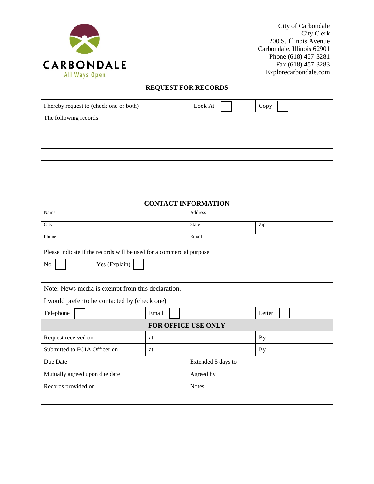

City of Carbondale City Clerk 200 S. Illinois Avenue Carbondale, Illinois 62901 Phone (618) 457-3281 Fax (618) 457-3283 Explorecarbondale.com

## **REQUEST FOR RECORDS**

| I hereby request to (check one or both)                              |       |  | Look At                          |  |           | Copy   |  |  |
|----------------------------------------------------------------------|-------|--|----------------------------------|--|-----------|--------|--|--|
| The following records                                                |       |  |                                  |  |           |        |  |  |
|                                                                      |       |  |                                  |  |           |        |  |  |
|                                                                      |       |  |                                  |  |           |        |  |  |
|                                                                      |       |  |                                  |  |           |        |  |  |
|                                                                      |       |  |                                  |  |           |        |  |  |
|                                                                      |       |  |                                  |  |           |        |  |  |
|                                                                      |       |  |                                  |  |           |        |  |  |
| <b>CONTACT INFORMATION</b>                                           |       |  |                                  |  |           |        |  |  |
| Name                                                                 |       |  | Address                          |  |           |        |  |  |
| City                                                                 |       |  | $\overline{Zip}$<br><b>State</b> |  |           |        |  |  |
| Phone                                                                |       |  | Email                            |  |           |        |  |  |
| Please indicate if the records will be used for a commercial purpose |       |  |                                  |  |           |        |  |  |
| Yes (Explain)<br>No                                                  |       |  |                                  |  |           |        |  |  |
|                                                                      |       |  |                                  |  |           |        |  |  |
| Note: News media is exempt from this declaration.                    |       |  |                                  |  |           |        |  |  |
| I would prefer to be contacted by (check one)                        |       |  |                                  |  |           |        |  |  |
| Telephone                                                            | Email |  |                                  |  |           | Letter |  |  |
| FOR OFFICE USE ONLY                                                  |       |  |                                  |  |           |        |  |  |
| Request received on                                                  | at    |  |                                  |  | <b>By</b> |        |  |  |
| Submitted to FOIA Officer on                                         | at    |  | <b>By</b>                        |  |           |        |  |  |
| Due Date                                                             |       |  | Extended 5 days to               |  |           |        |  |  |
| Mutually agreed upon due date                                        |       |  | Agreed by                        |  |           |        |  |  |
| Records provided on                                                  |       |  | <b>Notes</b>                     |  |           |        |  |  |
|                                                                      |       |  |                                  |  |           |        |  |  |